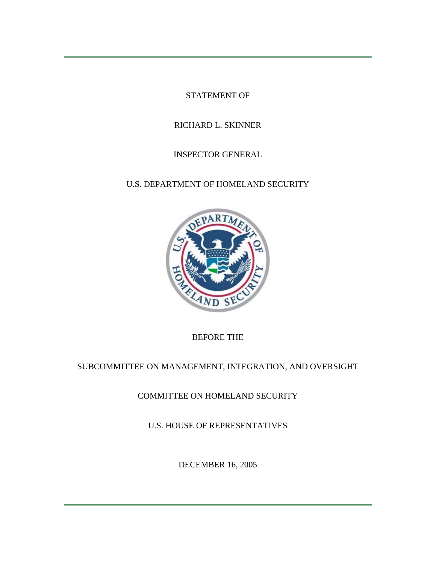STATEMENT OF

# RICHARD L. SKINNER

# INSPECTOR GENERAL

# U.S. DEPARTMENT OF HOMELAND SECURITY



BEFORE THE

# SUBCOMMITTEE ON MANAGEMENT, INTEGRATION, AND OVERSIGHT

COMMITTEE ON HOMELAND SECURITY

U.S. HOUSE OF REPRESENTATIVES

DECEMBER 16, 2005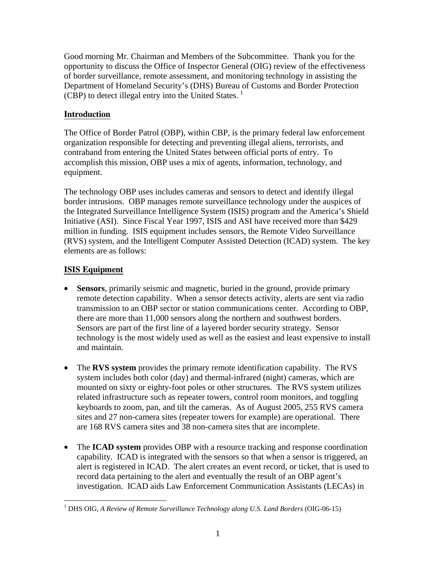Good morning Mr. Chairman and Members of the Subcommittee. Thank you for the opportunity to discuss the Office of Inspector General (OIG) review of the effectiveness of border surveillance, remote assessment, and monitoring technology in assisting the Department of Homeland Security's (DHS) Bureau of Customs and Border Protection (CBP) to detect illegal entry into the United States.  $\frac{1}{1}$  $\frac{1}{1}$  $\frac{1}{1}$ 

## **Introduction**

The Office of Border Patrol (OBP), within CBP, is the primary federal law enforcement organization responsible for detecting and preventing illegal aliens, terrorists, and contraband from entering the United States between official ports of entry. To accomplish this mission, OBP uses a mix of agents, information, technology, and equipment.

The technology OBP uses includes cameras and sensors to detect and identify illegal border intrusions. OBP manages remote surveillance technology under the auspices of the Integrated Surveillance Intelligence System (ISIS) program and the America's Shield Initiative (ASI). Since Fiscal Year 1997, ISIS and ASI have received more than \$429 million in funding. ISIS equipment includes sensors, the Remote Video Surveillance (RVS) system, and the Intelligent Computer Assisted Detection (ICAD) system. The key elements are as follows:

## **ISIS Equipment**

- **Sensors**, primarily seismic and magnetic, buried in the ground, provide primary remote detection capability. When a sensor detects activity, alerts are sent via radio transmission to an OBP sector or station communications center. According to OBP, there are more than 11,000 sensors along the northern and southwest borders. Sensors are part of the first line of a layered border security strategy. Sensor technology is the most widely used as well as the easiest and least expensive to install and maintain.
- The **RVS system** provides the primary remote identification capability. The RVS system includes both color (day) and thermal-infrared (night) cameras, which are mounted on sixty or eighty-foot poles or other structures. The RVS system utilizes related infrastructure such as repeater towers, control room monitors, and toggling keyboards to zoom, pan, and tilt the cameras. As of August 2005, 255 RVS camera sites and 27 non-camera sites (repeater towers for example) are operational. There are 168 RVS camera sites and 38 non-camera sites that are incomplete.
- The **ICAD system** provides OBP with a resource tracking and response coordination capability. ICAD is integrated with the sensors so that when a sensor is triggered, an alert is registered in ICAD. The alert creates an event record, or ticket, that is used to record data pertaining to the alert and eventually the result of an OBP agent's investigation. ICAD aids Law Enforcement Communication Assistants (LECAs) in

<span id="page-1-0"></span> $\overline{a}$ <sup>1</sup> DHS OIG, A Review of Remote Surveillance Technology along U.S. Land Borders (OIG-06-15)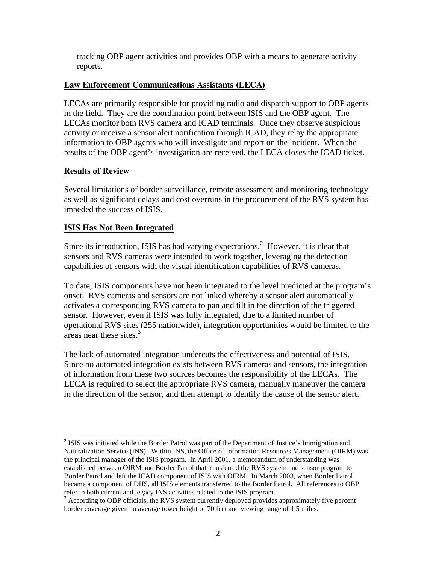tracking OBP agent activities and provides OBP with a means to generate activity reports.

### **Law Enforcement Communications Assistants (LECA)**

LECAs are primarily responsible for providing radio and dispatch support to OBP agents in the field. They are the coordination point between ISIS and the OBP agent. The LECAs monitor both RVS camera and ICAD terminals. Once they observe suspicious activity or receive a sensor alert notification through ICAD, they relay the appropriate information to OBP agents who will investigate and report on the incident. When the results of the OBP agent's investigation are received, the LECA closes the ICAD ticket.

## **Results of Review**

 $\overline{a}$ 

Several limitations of border surveillance, remote assessment and monitoring technology as well as significant delays and cost overruns in the procurement of the RVS system has impeded the success of ISIS.

## **ISIS Has Not Been Integrated**

Since its introduction, ISIS has had varying expectations. $2$  However, it is clear that sensors and RVS cameras were intended to work together, leveraging the detection capabilities of sensors with the visual identification capabilities of RVS cameras.

To date, ISIS components have not been integrated to the level predicted at the program's onset. RVS cameras and sensors are not linked whereby a sensor alert automatically activates a corresponding RVS camera to pan and tilt in the direction of the triggered sensor. However, even if ISIS was fully integrated, due to a limited number of operational RVS sites (255 nationwide), integration opportunities would be limited to the areas near these sites. $3$ 

The lack of automated integration undercuts the effectiveness and potential of ISIS. Since no automated integration exists between RVS cameras and sensors, the integration of information from these two sources becomes the responsibility of the LECAs. The LECA is required to select the appropriate RVS camera, manually maneuver the camera in the direction of the sensor, and then attempt to identify the cause of the sensor alert.

<span id="page-2-0"></span> $2$  ISIS was initiated while the Border Patrol was part of the Department of Justice's Immigration and Naturalization Service (INS). Within INS, the Office of Information Resources Management (OIRM) was the principal manager of the ISIS program. In April 2001, a memorandum of understanding was established between OIRM and Border Patrol that transferred the RVS system and sensor program to Border Patrol and left the ICAD component of ISIS with OIRM. In March 2003, when Border Patrol became a component of DHS, all ISIS elements transferred to the Border Patrol. All references to OBP refer to both current and legacy INS activities related to the ISIS program. 3

<span id="page-2-1"></span> $3$  According to OBP officials, the RVS system currently deployed provides approximately five percent border coverage given an average tower height of 70 feet and viewing range of 1.5 miles.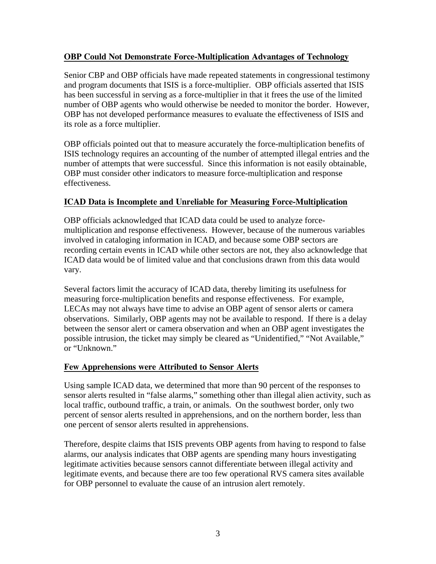## **OBP Could Not Demonstrate Force-Multiplication Advantages of Technology**

Senior CBP and OBP officials have made repeated statements in congressional testimony and program documents that ISIS is a force-multiplier. OBP officials asserted that ISIS has been successful in serving as a force-multiplier in that it frees the use of the limited number of OBP agents who would otherwise be needed to monitor the border. However, OBP has not developed performance measures to evaluate the effectiveness of ISIS and its role as a force multiplier.

OBP officials pointed out that to measure accurately the force-multiplication benefits of ISIS technology requires an accounting of the number of attempted illegal entries and the number of attempts that were successful. Since this information is not easily obtainable, OBP must consider other indicators to measure force-multiplication and response effectiveness.

## **ICAD Data is Incomplete and Unreliable for Measuring Force-Multiplication**

OBP officials acknowledged that ICAD data could be used to analyze forcemultiplication and response effectiveness. However, because of the numerous variables involved in cataloging information in ICAD, and because some OBP sectors are recording certain events in ICAD while other sectors are not, they also acknowledge that ICAD data would be of limited value and that conclusions drawn from this data would vary.

Several factors limit the accuracy of ICAD data, thereby limiting its usefulness for measuring force-multiplication benefits and response effectiveness. For example, LECAs may not always have time to advise an OBP agent of sensor alerts or camera observations. Similarly, OBP agents may not be available to respond. If there is a delay between the sensor alert or camera observation and when an OBP agent investigates the possible intrusion, the ticket may simply be cleared as "Unidentified," "Not Available," or "Unknown."

### **Few Apprehensions were Attributed to Sensor Alerts**

Using sample ICAD data, we determined that more than 90 percent of the responses to sensor alerts resulted in "false alarms," something other than illegal alien activity, such as local traffic, outbound traffic, a train, or animals. On the southwest border, only two percent of sensor alerts resulted in apprehensions, and on the northern border, less than one percent of sensor alerts resulted in apprehensions.

Therefore, despite claims that ISIS prevents OBP agents from having to respond to false alarms, our analysis indicates that OBP agents are spending many hours investigating legitimate activities because sensors cannot differentiate between illegal activity and legitimate events, and because there are too few operational RVS camera sites available for OBP personnel to evaluate the cause of an intrusion alert remotely.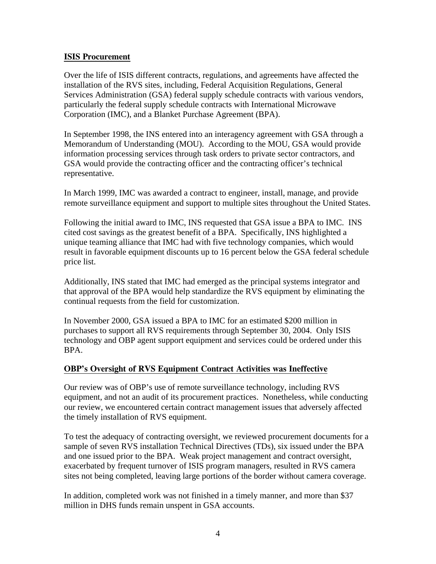#### **ISIS Procurement**

Over the life of ISIS different contracts, regulations, and agreements have affected the installation of the RVS sites, including, Federal Acquisition Regulations, General Services Administration (GSA) federal supply schedule contracts with various vendors, particularly the federal supply schedule contracts with International Microwave Corporation (IMC), and a Blanket Purchase Agreement (BPA).

In September 1998, the INS entered into an interagency agreement with GSA through a Memorandum of Understanding (MOU). According to the MOU, GSA would provide information processing services through task orders to private sector contractors, and GSA would provide the contracting officer and the contracting officer's technical representative.

In March 1999, IMC was awarded a contract to engineer, install, manage, and provide remote surveillance equipment and support to multiple sites throughout the United States.

Following the initial award to IMC, INS requested that GSA issue a BPA to IMC. INS cited cost savings as the greatest benefit of a BPA. Specifically, INS highlighted a unique teaming alliance that IMC had with five technology companies, which would result in favorable equipment discounts up to 16 percent below the GSA federal schedule price list.

Additionally, INS stated that IMC had emerged as the principal systems integrator and that approval of the BPA would help standardize the RVS equipment by eliminating the continual requests from the field for customization.

In November 2000, GSA issued a BPA to IMC for an estimated \$200 million in purchases to support all RVS requirements through September 30, 2004. Only ISIS technology and OBP agent support equipment and services could be ordered under this BPA.

### **OBP's Oversight of RVS Equipment Contract Activities was Ineffective**

Our review was of OBP's use of remote surveillance technology, including RVS equipment, and not an audit of its procurement practices. Nonetheless, while conducting our review, we encountered certain contract management issues that adversely affected the timely installation of RVS equipment.

To test the adequacy of contracting oversight, we reviewed procurement documents for a sample of seven RVS installation Technical Directives (TDs), six issued under the BPA and one issued prior to the BPA. Weak project management and contract oversight, exacerbated by frequent turnover of ISIS program managers, resulted in RVS camera sites not being completed, leaving large portions of the border without camera coverage.

In addition, completed work was not finished in a timely manner, and more than \$37 million in DHS funds remain unspent in GSA accounts.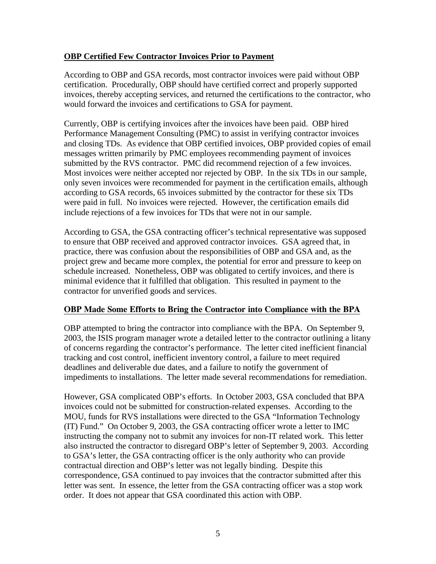### **OBP Certified Few Contractor Invoices Prior to Payment**

According to OBP and GSA records, most contractor invoices were paid without OBP certification. Procedurally, OBP should have certified correct and properly supported invoices, thereby accepting services, and returned the certifications to the contractor, who would forward the invoices and certifications to GSA for payment.

Currently, OBP is certifying invoices after the invoices have been paid. OBP hired Performance Management Consulting (PMC) to assist in verifying contractor invoices and closing TDs. As evidence that OBP certified invoices, OBP provided copies of email messages written primarily by PMC employees recommending payment of invoices submitted by the RVS contractor. PMC did recommend rejection of a few invoices. Most invoices were neither accepted nor rejected by OBP. In the six TDs in our sample, only seven invoices were recommended for payment in the certification emails, although according to GSA records, 65 invoices submitted by the contractor for these six TDs were paid in full. No invoices were rejected. However, the certification emails did include rejections of a few invoices for TDs that were not in our sample.

According to GSA, the GSA contracting officer's technical representative was supposed to ensure that OBP received and approved contractor invoices. GSA agreed that, in practice, there was confusion about the responsibilities of OBP and GSA and, as the project grew and became more complex, the potential for error and pressure to keep on schedule increased. Nonetheless, OBP was obligated to certify invoices, and there is minimal evidence that it fulfilled that obligation. This resulted in payment to the contractor for unverified goods and services.

### **OBP Made Some Efforts to Bring the Contractor into Compliance with the BPA**

OBP attempted to bring the contractor into compliance with the BPA. On September 9, 2003, the ISIS program manager wrote a detailed letter to the contractor outlining a litany of concerns regarding the contractor's performance. The letter cited inefficient financial tracking and cost control, inefficient inventory control, a failure to meet required deadlines and deliverable due dates, and a failure to notify the government of impediments to installations. The letter made several recommendations for remediation.

However, GSA complicated OBP's efforts. In October 2003, GSA concluded that BPA invoices could not be submitted for construction-related expenses. According to the MOU, funds for RVS installations were directed to the GSA "Information Technology (IT) Fund." On October 9, 2003, the GSA contracting officer wrote a letter to IMC instructing the company not to submit any invoices for non-IT related work. This letter also instructed the contractor to disregard OBP's letter of September 9, 2003. According to GSA's letter, the GSA contracting officer is the only authority who can provide contractual direction and OBP's letter was not legally binding. Despite this correspondence, GSA continued to pay invoices that the contractor submitted after this letter was sent. In essence, the letter from the GSA contracting officer was a stop work order. It does not appear that GSA coordinated this action with OBP.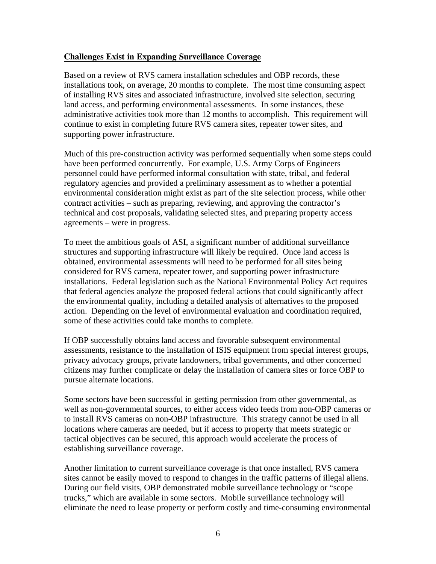#### **Challenges Exist in Expanding Surveillance Coverage**

Based on a review of RVS camera installation schedules and OBP records, these installations took, on average, 20 months to complete. The most time consuming aspect of installing RVS sites and associated infrastructure, involved site selection, securing land access, and performing environmental assessments. In some instances, these administrative activities took more than 12 months to accomplish. This requirement will continue to exist in completing future RVS camera sites, repeater tower sites, and supporting power infrastructure.

Much of this pre-construction activity was performed sequentially when some steps could have been performed concurrently. For example, U.S. Army Corps of Engineers personnel could have performed informal consultation with state, tribal, and federal regulatory agencies and provided a preliminary assessment as to whether a potential environmental consideration might exist as part of the site selection process, while other contract activities – such as preparing, reviewing, and approving the contractor's technical and cost proposals, validating selected sites, and preparing property access agreements – were in progress.

To meet the ambitious goals of ASI, a significant number of additional surveillance structures and supporting infrastructure will likely be required. Once land access is obtained, environmental assessments will need to be performed for all sites being considered for RVS camera, repeater tower, and supporting power infrastructure installations. Federal legislation such as the National Environmental Policy Act requires that federal agencies analyze the proposed federal actions that could significantly affect the environmental quality, including a detailed analysis of alternatives to the proposed action. Depending on the level of environmental evaluation and coordination required, some of these activities could take months to complete.

If OBP successfully obtains land access and favorable subsequent environmental assessments, resistance to the installation of ISIS equipment from special interest groups, privacy advocacy groups, private landowners, tribal governments, and other concerned citizens may further complicate or delay the installation of camera sites or force OBP to pursue alternate locations.

Some sectors have been successful in getting permission from other governmental, as well as non-governmental sources, to either access video feeds from non-OBP cameras or to install RVS cameras on non-OBP infrastructure. This strategy cannot be used in all locations where cameras are needed, but if access to property that meets strategic or tactical objectives can be secured, this approach would accelerate the process of establishing surveillance coverage.

Another limitation to current surveillance coverage is that once installed, RVS camera sites cannot be easily moved to respond to changes in the traffic patterns of illegal aliens. During our field visits, OBP demonstrated mobile surveillance technology or "scope trucks," which are available in some sectors. Mobile surveillance technology will eliminate the need to lease property or perform costly and time-consuming environmental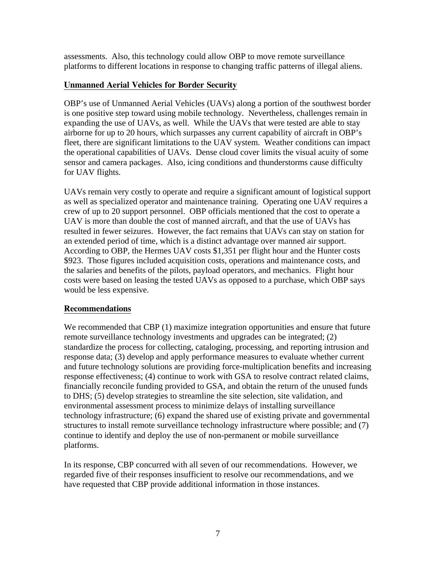assessments. Also, this technology could allow OBP to move remote surveillance platforms to different locations in response to changing traffic patterns of illegal aliens.

## **Unmanned Aerial Vehicles for Border Security**

OBP's use of Unmanned Aerial Vehicles (UAVs) along a portion of the southwest border is one positive step toward using mobile technology. Nevertheless, challenges remain in expanding the use of UAVs, as well. While the UAVs that were tested are able to stay airborne for up to 20 hours, which surpasses any current capability of aircraft in OBP's fleet, there are significant limitations to the UAV system. Weather conditions can impact the operational capabilities of UAVs. Dense cloud cover limits the visual acuity of some sensor and camera packages. Also, icing conditions and thunderstorms cause difficulty for UAV flights.

UAVs remain very costly to operate and require a significant amount of logistical support as well as specialized operator and maintenance training. Operating one UAV requires a crew of up to 20 support personnel. OBP officials mentioned that the cost to operate a UAV is more than double the cost of manned aircraft, and that the use of UAVs has resulted in fewer seizures. However, the fact remains that UAVs can stay on station for an extended period of time, which is a distinct advantage over manned air support. According to OBP, the Hermes UAV costs \$1,351 per flight hour and the Hunter costs \$923. Those figures included acquisition costs, operations and maintenance costs, and the salaries and benefits of the pilots, payload operators, and mechanics. Flight hour costs were based on leasing the tested UAVs as opposed to a purchase, which OBP says would be less expensive.

### **Recommendations**

We recommended that CBP (1) maximize integration opportunities and ensure that future remote surveillance technology investments and upgrades can be integrated; (2) standardize the process for collecting, cataloging, processing, and reporting intrusion and response data; (3) develop and apply performance measures to evaluate whether current and future technology solutions are providing force-multiplication benefits and increasing response effectiveness; (4) continue to work with GSA to resolve contract related claims, financially reconcile funding provided to GSA, and obtain the return of the unused funds to DHS; (5) develop strategies to streamline the site selection, site validation, and environmental assessment process to minimize delays of installing surveillance technology infrastructure; (6) expand the shared use of existing private and governmental structures to install remote surveillance technology infrastructure where possible; and (7) continue to identify and deploy the use of non-permanent or mobile surveillance platforms.

In its response, CBP concurred with all seven of our recommendations. However, we regarded five of their responses insufficient to resolve our recommendations, and we have requested that CBP provide additional information in those instances.